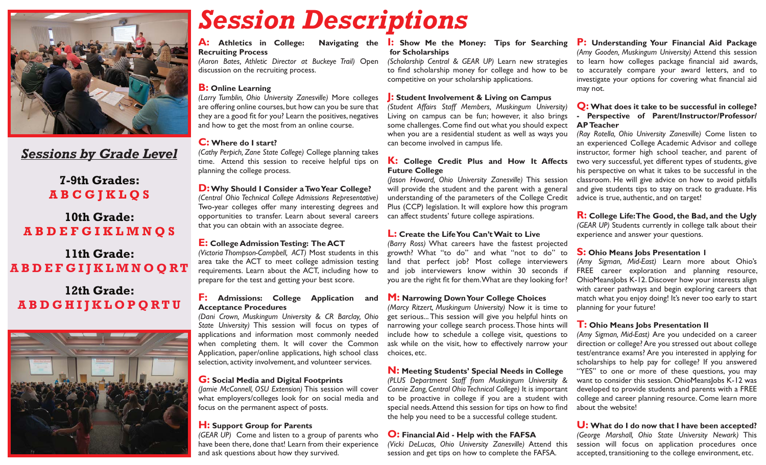

## *Sessions by Grade Level*

## **7-9th Grades: A B C G J K L Q S**

## **10th Grade: A B D E F G I K L M N Q S**

## **11th Grade: A B D E F G I J K L M N O Q R T**

## **12th Grade: A B D G H I J K L O P Q R T U**



# *Session Descriptions*

#### **A: Athletics in College: Navigating the Recruiting Process**

*(Aaron Bates, Athletic Director at Buckeye Trail)* Open discussion on the recruiting process.

#### **B: Online Learning**

*(Larry Tumblin, Ohio University Zanesville)* More colleges are offering online courses, but how can you be sure that they are a good fit for you? Learn the positives, negatives and how to get the most from an online course.

### **C: Where do I start?**

*(Cathy Perpich, Zane State College)* College planning takes time. Attend this session to receive helpful tips on planning the college process.

#### **D: Why Should I Consider a Two Year College?**

*(Central Ohio Technical College Admissions Representative)* Two-year colleges offer many interesting degrees and opportunities to transfer. Learn about several careers that you can obtain with an associate degree.

#### **E: College Admission Testing: The ACT**

*(Victoria Thompson-Campbell, ACT)* Most students in this area take the ACT to meet college admission testing requirements. Learn about the ACT, including how to prepare for the test and getting your best score.

#### **F: Admissions: College Application and Acceptance Procedures**

*(Dani Crown, Muskingum University & CR Barclay, Ohio State University)* This session will focus on types of applications and information most commonly needed when completing them. It will cover the Common Application, paper/online applications, high school class selection, activity involvement, and volunteer services.

#### **G: Social Media and Digital Footprints**

*(Jamie McConnell, OSU Extension)* This session will cover what employers/colleges look for on social media and focus on the permanent aspect of posts.

### **H: Support Group for Parents**

*(GEAR UP)* Come and listen to a group of parents who have been there, done that! Learn from their experience and ask questions about how they survived.

#### **I: Show Me the Money: Tips for Searching for Scholarships**

*(Scholarship Central & GEAR UP)* Learn new strategies to find scholarship money for college and how to be competitive on your scholarship applications.

#### **J: Student Involvement & Living on Campus**

*(Student Affairs Staff Members, Muskingum University)* Living on campus can be fun; however, it also brings some challenges. Come find out what you should expect when you are a residential student as well as ways you can become involved in campus life.

#### **K: College Credit Plus and How It Affects Future College**

*(Jason Howard, Ohio University Zanesville)* This session will provide the student and the parent with a general understanding of the parameters of the College Credit Plus (CCP) legislation. It will explore how this program can affect students' future college aspirations.

#### **L: Create the Life You Can't Wait to Live**

*(Barry Ross)* What careers have the fastest projected growth? What "to do" and what "not to do" to land that perfect job? Most college interviewers and job interviewers know within 30 seconds if you are the right fit for them. What are they looking for?

#### **M: Narrowing Down Your College Choices**

*(Marcy Ritzert, Muskingum University)* Now it is time to get serious... This session will give you helpful hints on narrowing your college search process. Those hints will include how to schedule a college visit, questions to ask while on the visit, how to effectively narrow your choices, etc.

#### **N: Meeting Students' Special Needs in College**

*(PLUS Department Staff from Muskingum University & Connie Zang, Central Ohio Technical College)* It is important to be proactive in college if you are a student with special needs. Attend this session for tips on how to find the help you need to be a successful college student.

#### **O: Financial Aid - Help with the FAFSA**

*(Vicki DeLucas, Ohio University Zanesville)* Attend this session and get tips on how to complete the FAFSA.

#### **P: Understanding Your Financial Aid Package** *(Amy Gooden, Muskingum University)* Attend this session to learn how colleges package financial aid awards, to accurately compare your award letters, and to investigate your options for covering what financial aid may not.

#### **Q: What does it take to be successful in college? - Perspective of Parent/Instructor/Professor/ AP Teacher**

*(Ray Rotella, Ohio University Zanesville)* Come listen to an experienced College Academic Advisor and college instructor, former high school teacher, and parent of two very successful, yet different types of students, give his perspective on what it takes to be successful in the classroom. He will give advice on how to avoid pitfalls and give students tips to stay on track to graduate. His advice is true, authentic, and on target!

**R: College Life: The Good, the Bad, and the Ugly**  *(GEAR UP)* Students currently in college talk about their experience and answer your questions.

#### **S: Ohio Means Jobs Presentation 1**

*(Amy Sigman, Mid-East)* Learn more about Ohio's FREE career exploration and planning resource, OhioMeansJobs K-12. Discover how your interests align with career pathways and begin exploring careers that match what you enjoy doing! It's never too early to start planning for your future!

#### **T: Ohio Means Jobs Presentation II**

*(Amy Sigman, Mid-East)* Are you undecided on a career direction or college? Are you stressed out about college test/entrance exams? Are you interested in applying for scholarships to help pay for college? If you answered "YES" to one or more of these questions, you may want to consider this session. OhioMeansJobs K-12 was developed to provide students and parents with a FREE college and career planning resource. Come learn more about the website!

**U: What do I do now that I have been accepted?** *(George Marshall, Ohio State University Newark)* This session will focus on application procedures once accepted, transitioning to the college environment, etc.